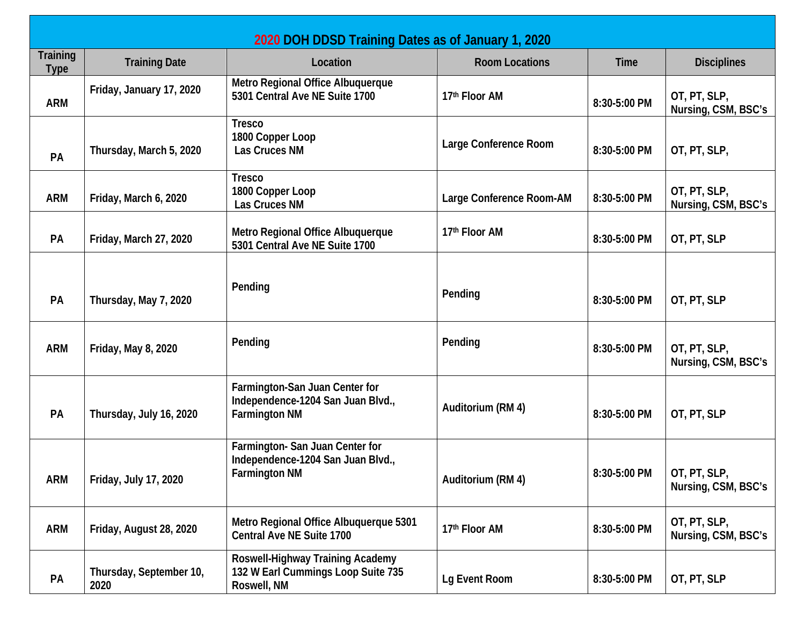| 2020 DOH DDSD Training Dates as of January 1, 2020 |                                 |                                                                                             |                          |              |                                             |  |  |  |
|----------------------------------------------------|---------------------------------|---------------------------------------------------------------------------------------------|--------------------------|--------------|---------------------------------------------|--|--|--|
| <b>Training</b><br><b>Type</b>                     | <b>Training Date</b>            | Location                                                                                    | <b>Room Locations</b>    | <b>Time</b>  | <b>Disciplines</b>                          |  |  |  |
| <b>ARM</b>                                         | Friday, January 17, 2020        | Metro Regional Office Albuquerque<br>5301 Central Ave NE Suite 1700                         | 17th Floor AM            | 8:30-5:00 PM | OT, PT, SLP,<br>Nursing, CSM, BSC's         |  |  |  |
| PA                                                 | Thursday, March 5, 2020         | <b>Tresco</b><br>1800 Copper Loop<br>Las Cruces NM                                          | Large Conference Room    | 8:30-5:00 PM | OT, PT, SLP,                                |  |  |  |
| <b>ARM</b>                                         | Friday, March 6, 2020           | <b>Tresco</b><br>1800 Copper Loop<br>Las Cruces NM                                          | Large Conference Room-AM | 8:30-5:00 PM | OT, PT, SLP,<br>Nursing, CSM, BSC's         |  |  |  |
| PA                                                 | Friday, March 27, 2020          | Metro Regional Office Albuquerque<br>5301 Central Ave NE Suite 1700                         | 17th Floor AM            | 8:30-5:00 PM | OT, PT, SLP                                 |  |  |  |
| PA                                                 | Thursday, May 7, 2020           | Pending                                                                                     | Pending                  | 8:30-5:00 PM | OT, PT, SLP                                 |  |  |  |
| <b>ARM</b>                                         | Friday, May 8, 2020             | Pending                                                                                     | Pending                  | 8:30-5:00 PM | OT, PT, SLP,<br>Nursing, CSM, BSC's         |  |  |  |
| <b>PA</b>                                          | Thursday, July 16, 2020         | Farmington-San Juan Center for<br>Independence-1204 San Juan Blvd.,<br><b>Farmington NM</b> | Auditorium (RM 4)        | 8:30-5:00 PM | OT, PT, SLP                                 |  |  |  |
| <b>ARM</b>                                         | Friday, July 17, 2020           | Farmington-San Juan Center for<br>Independence-1204 San Juan Blvd.,<br><b>Farmington NM</b> | Auditorium (RM 4)        | 8:30-5:00 PM | $\vert$ OT, PT, SLP,<br>Nursing, CSM, BSC's |  |  |  |
| <b>ARM</b>                                         | Friday, August 28, 2020         | Metro Regional Office Albuquerque 5301<br><b>Central Ave NE Suite 1700</b>                  | 17th Floor AM            | 8:30-5:00 PM | OT, PT, SLP,<br>Nursing, CSM, BSC's         |  |  |  |
| PA                                                 | Thursday, September 10,<br>2020 | Roswell-Highway Training Academy<br>132 W Earl Cummings Loop Suite 735<br>Roswell, NM       | Lg Event Room            | 8:30-5:00 PM | OT, PT, SLP                                 |  |  |  |